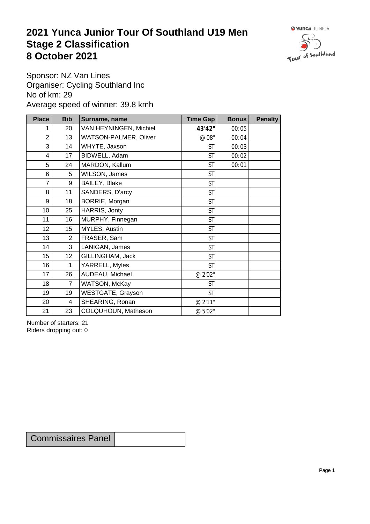## **2021 Yunca Junior Tour Of Southland U19 Men** Stage 2 Classification<br>8 October 2021 **8 October 2021**



Sponsor: NZ Van Lines Organiser: Cycling Southland Inc No of km: 29 Average speed of winner: 39.8 kmh

| <b>Place</b>    | <b>Bib</b>     | Surname, name          | <b>Time Gap</b> | <b>Bonus</b> | <b>Penalty</b> |
|-----------------|----------------|------------------------|-----------------|--------------|----------------|
|                 | 20             | VAN HEYNINGEN, Michiel | 43'42"          | 00:05        |                |
| $\overline{2}$  | 13             | WATSON-PALMER, Oliver  | $\emptyset$ 08" | 00:04        |                |
| 3               | 14             | WHYTE, Jaxson          | <b>ST</b>       | 00:03        |                |
| 4               | 17             | BIDWELL, Adam          | <b>ST</b>       | 00:02        |                |
| 5               | 24             | MARDON, Kallum         | <b>ST</b>       | 00:01        |                |
| 6               | 5              | WILSON, James          | <b>ST</b>       |              |                |
| 7               | 9              | BAILEY, Blake          | <b>ST</b>       |              |                |
| $\, 8$          | 11             | SANDERS, D'arcy        | <b>ST</b>       |              |                |
| 9               | 18             | BORRIE, Morgan         | <b>ST</b>       |              |                |
| 10 <sup>1</sup> | 25             | HARRIS, Jonty          | <b>ST</b>       |              |                |
| 11              | 16             | MURPHY, Finnegan       | <b>ST</b>       |              |                |
| 12              | 15             | MYLES, Austin          | <b>ST</b>       |              |                |
| 13              | $\overline{2}$ | FRASER, Sam            | <b>ST</b>       |              |                |
| 14              | 3              | LANIGAN, James         | <b>ST</b>       |              |                |
| 15              | 12             | GILLINGHAM, Jack       | <b>ST</b>       |              |                |
| 16              | $\mathbf{1}$   | YARRELL, Myles         | <b>ST</b>       |              |                |
| 17              | 26             | AUDEAU, Michael        | @ 2'02"         |              |                |
| 18              | $\overline{7}$ | WATSON, McKay          | <b>ST</b>       |              |                |
| 19              | 19             | WESTGATE, Grayson      | <b>ST</b>       |              |                |
| 20 <sup>1</sup> | $\overline{4}$ | SHEARING, Ronan        | @ 2'11"         |              |                |
| 21              | 23             | COLQUHOUN, Matheson    | @ 5'02"         |              |                |

Number of starters: 21 Riders dropping out: 0

Commissaires Panel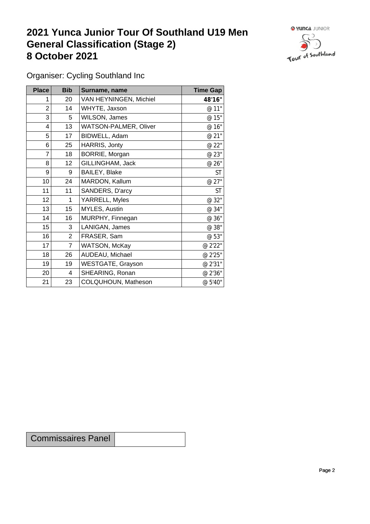## **2021 Yunca Junior Tour Of Southland U19 Men General Classification (Stage 2)**<br> **8 October 2021 8 October 2021**



Organiser: Cycling Southland Inc

| <b>Place</b> | <b>Bib</b>     | Surname, name          | <b>Time Gap</b> |
|--------------|----------------|------------------------|-----------------|
|              | 20             | VAN HEYNINGEN, Michiel | 48'16"          |
| 2            | 14             | WHYTE, Jaxson          | @ 11"           |
| 3            | 5              | WILSON, James          | @ 15"           |
| 4            | 13             | WATSON-PALMER, Oliver  | @ 16"           |
| 5            | 17             | BIDWELL, Adam          | @ 21"           |
| 6            | 25             | HARRIS, Jonty          | @ 22"           |
| 7            | 18             | BORRIE, Morgan         | @ 23"           |
| 8            | 12             | GILLINGHAM, Jack       | @ 26"           |
| 9            | 9              | BAILEY, Blake          | <b>ST</b>       |
| 10           | 24             | MARDON, Kallum         | @ 27"           |
| 11           | 11             | SANDERS, D'arcy        | <b>ST</b>       |
| 12           | 1              | YARRELL, Myles         | @ 32"           |
| 13           | 15             | MYLES, Austin          | @ 34"           |
| 14           | 16             | MURPHY, Finnegan       | @ 36"           |
| 15           | 3              | LANIGAN, James         | @ 38"           |
| 16           | $\overline{2}$ | FRASER, Sam            | @ 53"           |
| 17           | $\overline{7}$ | WATSON, McKay          | @ 2'22"         |
| 18           | 26             | AUDEAU, Michael        | @ 2'25"         |
| 19           | 19             | WESTGATE, Grayson      | @ 2'31"         |
| 20           | 4              | SHEARING, Ronan        | @ 2'36"         |
| 21           | 23             | COLQUHOUN, Matheson    | @ 5'40"         |

Commissaires Panel